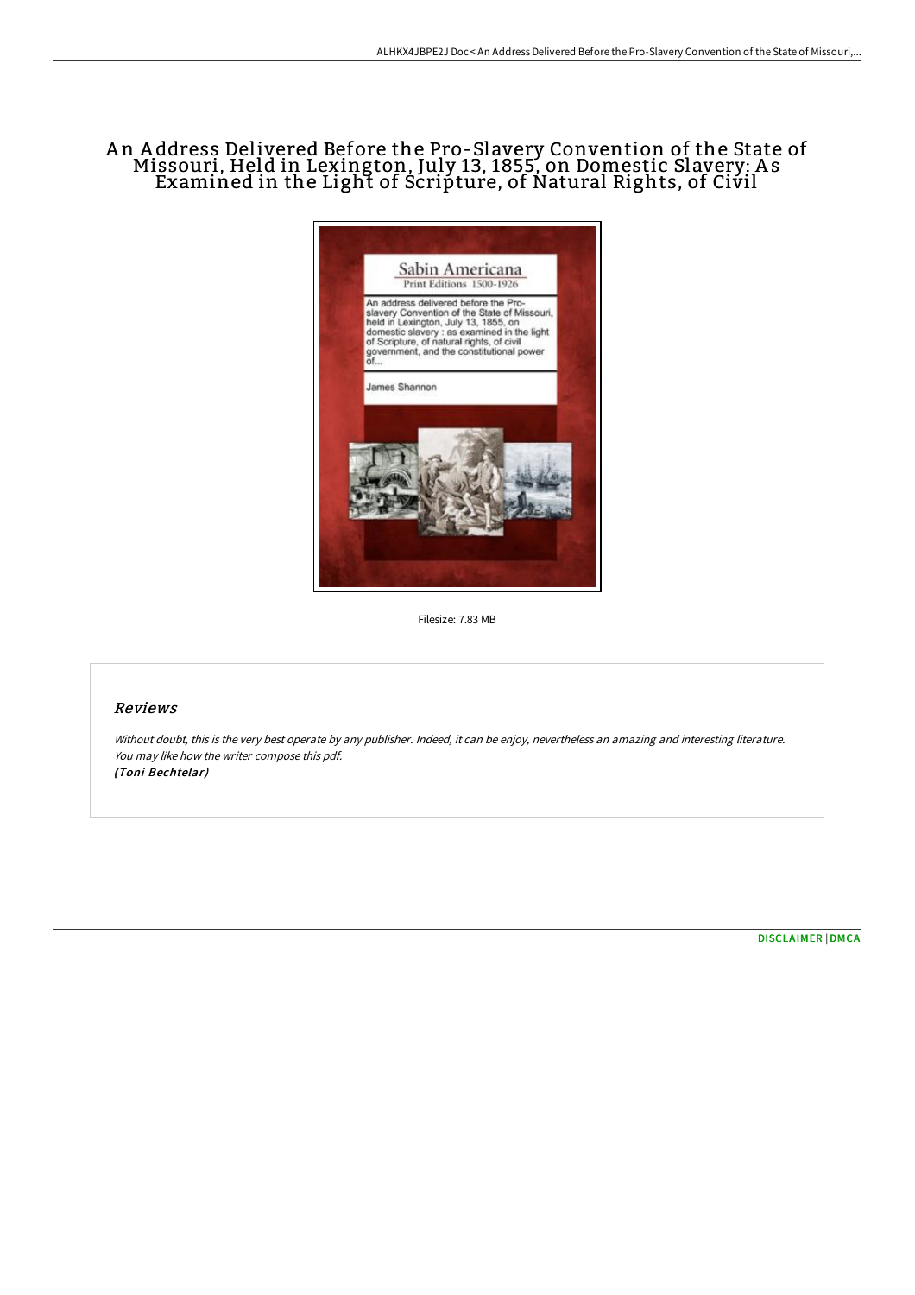## A n A ddress Delivered Before the Pro-Slavery Convention of the State of Missouri, Held in Lexington, July 13, 1855, on Domestic Slavery: A s Examined in the Light of Scripture, of Natural Rights, of Civil



Filesize: 7.83 MB

## Reviews

Without doubt, this is the very best operate by any publisher. Indeed, it can be enjoy, nevertheless an amazing and interesting literature. You may like how the writer compose this pdf. (Toni Bechtelar)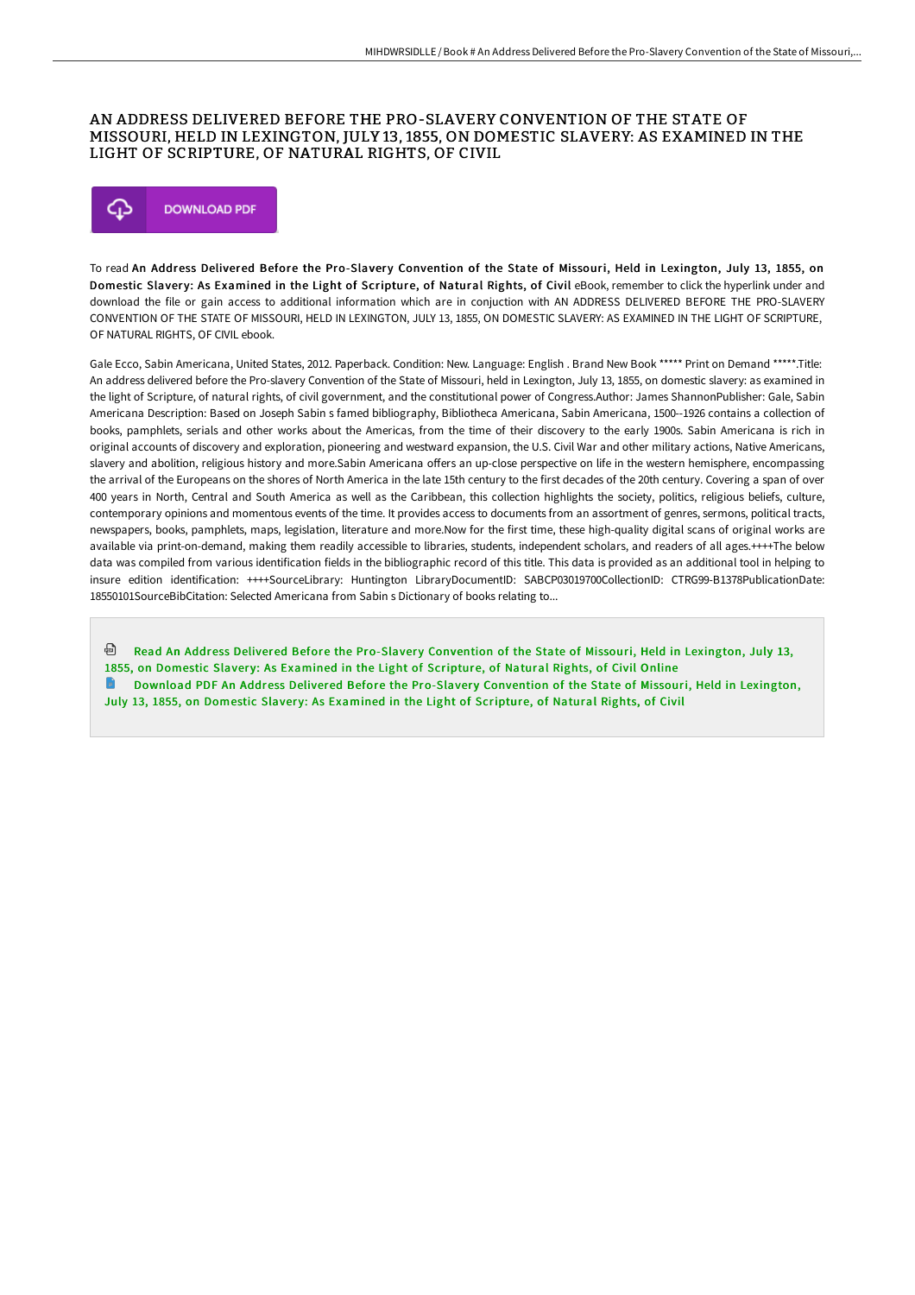## AN ADDRESS DELIVERED BEFORE THE PRO-SLAVERY CONVENTION OF THE STATE OF MISSOURI, HELD IN LEXINGTON, JULY 13, 1855, ON DOMESTIC SLAVERY: AS EXAMINED IN THE LIGHT OF SCRIPTURE, OF NATURAL RIGHTS, OF CIVIL



To read An Address Delivered Before the Pro-Slavery Convention of the State of Missouri, Held in Lexington, July 13, 1855, on Domestic Slavery: As Examined in the Light of Scripture, of Natural Rights, of Civil eBook, remember to click the hyperlink under and download the file or gain access to additional information which are in conjuction with AN ADDRESS DELIVERED BEFORE THE PRO-SLAVERY CONVENTION OF THE STATE OF MISSOURI, HELD IN LEXINGTON, JULY 13, 1855, ON DOMESTIC SLAVERY: AS EXAMINED IN THE LIGHT OF SCRIPTURE, OF NATURAL RIGHTS, OF CIVIL ebook.

Gale Ecco, Sabin Americana, United States, 2012. Paperback. Condition: New. Language: English . Brand New Book \*\*\*\*\* Print on Demand \*\*\*\*\*.Title: An address delivered before the Pro-slavery Convention of the State of Missouri, held in Lexington, July 13, 1855, on domestic slavery: as examined in the light of Scripture, of natural rights, of civil government, and the constitutional power of Congress.Author: James ShannonPublisher: Gale, Sabin Americana Description: Based on Joseph Sabin s famed bibliography, Bibliotheca Americana, Sabin Americana, 1500--1926 contains a collection of books, pamphlets, serials and other works about the Americas, from the time of their discovery to the early 1900s. Sabin Americana is rich in original accounts of discovery and exploration, pioneering and westward expansion, the U.S. Civil War and other military actions, Native Americans, slavery and abolition, religious history and more.Sabin Americana offers an up-close perspective on life in the western hemisphere, encompassing the arrival of the Europeans on the shores of North America in the late 15th century to the first decades of the 20th century. Covering a span of over 400 years in North, Central and South America as well as the Caribbean, this collection highlights the society, politics, religious beliefs, culture, contemporary opinions and momentous events of the time. It provides access to documents from an assortment of genres, sermons, political tracts, newspapers, books, pamphlets, maps, legislation, literature and more.Now for the first time, these high-quality digital scans of original works are available via print-on-demand, making them readily accessible to libraries, students, independent scholars, and readers of all ages.++++The below data was compiled from various identification fields in the bibliographic record of this title. This data is provided as an additional tool in helping to insure edition identification: ++++SourceLibrary: Huntington LibraryDocumentID: SABCP03019700CollectionID: CTRG99-B1378PublicationDate: 18550101SourceBibCitation: Selected Americana from Sabin s Dictionary of books relating to...

⊕ Read An Address Delivered Before the Pro-Slavery [Convention](http://www.bookdirs.com/an-address-delivered-before-the-pro-slavery-conv.html) of the State of Missouri, Held in Lexington, July 13, 1855, on Domestic Slavery: As Examined in the Light of Scripture, of Natural Rights, of Civil Online Download PDF An Address Delivered Before the Pro-Slavery [Convention](http://www.bookdirs.com/an-address-delivered-before-the-pro-slavery-conv.html) of the State of Missouri, Held in Lexington, July 13, 1855, on Domestic Slavery: As Examined in the Light of Scripture, of Natural Rights, of Civil